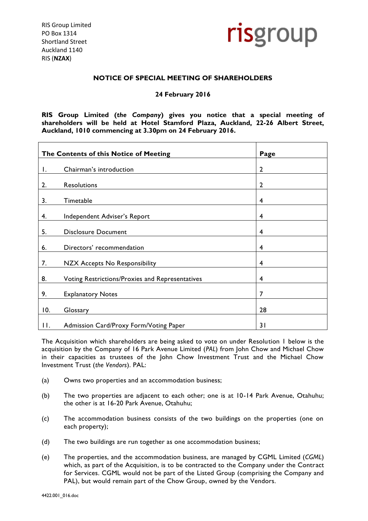RIS Group Limited PO Box 1314 Shortland Street Auckland 1140 RIS (**NZAX**)



# **NOTICE OF SPECIAL MEETING OF SHAREHOLDERS**

# **24 February 2016**

**RIS Group Limited (***the Company***) gives you notice that a special meeting of shareholders will be held at Hotel Stamford Plaza, Auckland, 22-26 Albert Street, Auckland, 1010 commencing at 3.30pm on 24 February 2016.**

| The Contents of this Notice of Meeting |                                                 | Page           |
|----------------------------------------|-------------------------------------------------|----------------|
| Ι.                                     | Chairman's introduction                         | $\overline{2}$ |
| 2.                                     | Resolutions                                     | $\overline{2}$ |
| 3.                                     | Timetable                                       | 4              |
| 4.                                     | Independent Adviser's Report                    | 4              |
| 5.                                     | <b>Disclosure Document</b>                      | 4              |
| 6.                                     | Directors' recommendation                       | 4              |
| 7.                                     | NZX Accepts No Responsibility                   | 4              |
| 8.                                     | Voting Restrictions/Proxies and Representatives | 4              |
| 9.                                     | <b>Explanatory Notes</b>                        | $\overline{7}$ |
| 10.                                    | Glossary                                        | 28             |
| П.                                     | Admission Card/Proxy Form/Voting Paper          | 31             |

The Acquisition which shareholders are being asked to vote on under Resolution 1 below is the acquisition by the Company of 16 Park Avenue Limited (*PAL*) from John Chow and Michael Chow in their capacities as trustees of the John Chow Investment Trust and the Michael Chow Investment Trust (*the Vendors*). PAL:

- (a) Owns two properties and an accommodation business;
- (b) The two properties are adjacent to each other; one is at 10-14 Park Avenue, Otahuhu; the other is at 16-20 Park Avenue, Otahuhu;
- (c) The accommodation business consists of the two buildings on the properties (one on each property);
- (d) The two buildings are run together as one accommodation business;
- (e) The properties, and the accommodation business, are managed by CGML Limited (*CGML*) which, as part of the Acquisition, is to be contracted to the Company under the Contract for Services. CGML would not be part of the Listed Group (comprising the Company and PAL), but would remain part of the Chow Group, owned by the Vendors.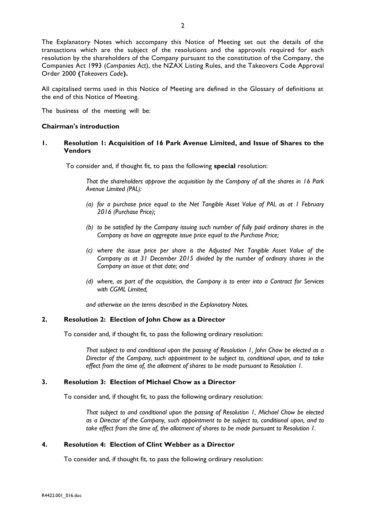The Explanatory Notes which accompany this Notice of Meeting set out the details of the transactions which are the subject of the resolutions and the approvals required for each resolution by the shareholders of the Company pursuant to the constitution of the Company, the Companies Act 1993 (*Companies Act*), the NZAX Listing Rules, and the Takeovers Code Approval Order 2000 **(***Takeovers Code***).**

All capitalised terms used in this Notice of Meeting are defined in the Glossary of definitions at the end of this Notice of Meeting.

The business of the meeting will be:

## **Chairman's introduction**

## **1. Resolution 1: Acquisition of 16 Park Avenue Limited, and Issue of Shares to the Vendors**

To consider and, if thought fit, to pass the following **special** resolution:

*That the shareholders approve the acquisition by the Company of all the shares in 16 Park Avenue Limited (PAL):*

- *(a) for a purchase price equal to the Net Tangible Asset Value of PAL as at 1 February 2016 (Purchase Price);*
- *(b) to be satisfied by the Company issuing such number of fully paid ordinary shares in the Company as have an aggregate issue price equal to the Purchase Price;*
- *(c) where the issue price per share is the Adjusted Net Tangible Asset Value of the Company as at 31 December 2015 divided by the number of ordinary shares in the Company on issue at that date; and*
- *(d) where, as part of the acquisition, the Company is to enter into a Contract for Services with CGML Limited,*

*and otherwise on the terms described in the Explanatory Notes.*

## **2. Resolution 2: Election of John Chow as a Director**

To consider and, if thought fit, to pass the following ordinary resolution:

*That subject to and conditional upon the passing of Resolution 1, John Chow be elected as a Director of the Company, such appointment to be subject to, conditional upon, and to take effect from the time of, the allotment of shares to be made pursuant to Resolution 1.*

## **3. Resolution 3: Election of Michael Chow as a Director**

To consider and, if thought fit, to pass the following ordinary resolution:

*That subject to and conditional upon the passing of Resolution 1, Michael Chow be elected as a Director of the Company, such appointment to be subject to, conditional upon, and to take effect from the time of, the allotment of shares to be made pursuant to Resolution 1.*

## **4. Resolution 4: Election of Clint Webber as a Director**

To consider and, if thought fit, to pass the following ordinary resolution: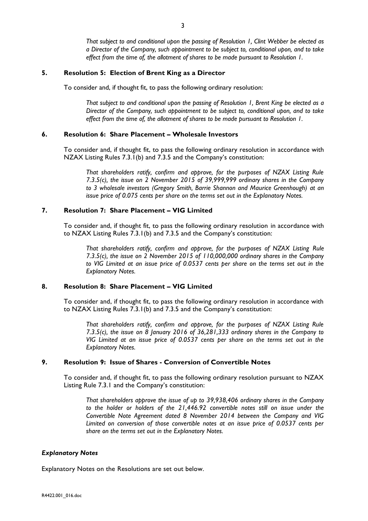*That subject to and conditional upon the passing of Resolution 1, Clint Webber be elected as a Director of the Company, such appointment to be subject to, conditional upon, and to take effect from the time of, the allotment of shares to be made pursuant to Resolution 1.*

### **5. Resolution 5: Election of Brent King as a Director**

To consider and, if thought fit, to pass the following ordinary resolution:

*That subject to and conditional upon the passing of Resolution 1, Brent King be elected as a Director of the Company, such appointment to be subject to, conditional upon, and to take effect from the time of, the allotment of shares to be made pursuant to Resolution 1.*

## **6. Resolution 6: Share Placement – Wholesale Investors**

To consider and, if thought fit, to pass the following ordinary resolution in accordance with NZAX Listing Rules 7.3.1(b) and 7.3.5 and the Company's constitution:

*That shareholders ratify, confirm and approve, for the purposes of NZAX Listing Rule 7.3.5(c), the issue on 2 November 2015 of 39,999,999 ordinary shares in the Company to 3 wholesale investors (Gregory Smith, Barrie Shannon and Maurice Greenhough) at an issue price of 0.075 cents per share on the terms set out in the Explanatory Notes.*

# **7. Resolution 7: Share Placement – VIG Limited**

To consider and, if thought fit, to pass the following ordinary resolution in accordance with to NZAX Listing Rules 7.3.1(b) and 7.3.5 and the Company's constitution:

*That shareholders ratify, confirm and approve, for the purposes of NZAX Listing Rule 7.3.5(c), the issue on 2 November 2015 of 110,000,000 ordinary shares in the Company to VIG Limited at an issue price of 0.0537 cents per share on the terms set out in the Explanatory Notes.*

# **8. Resolution 8: Share Placement – VIG Limited**

To consider and, if thought fit, to pass the following ordinary resolution in accordance with to NZAX Listing Rules 7.3.1(b) and 7.3.5 and the Company's constitution:

*That shareholders ratify, confirm and approve, for the purposes of NZAX Listing Rule 7.3.5(c), the issue on 8 January 2016 of 36,281,333 ordinary shares in the Company to VIG Limited at an issue price of 0.0537 cents per share on the terms set out in the Explanatory Notes.*

# **9. Resolution 9: Issue of Shares - Conversion of Convertible Notes**

To consider and, if thought fit, to pass the following ordinary resolution pursuant to NZAX Listing Rule 7.3.1 and the Company's constitution:

*That shareholders approve the issue of up to 39,938,406 ordinary shares in the Company to the holder or holders of the 21,446.92 convertible notes still on issue under the Convertible Note Agreement dated 8 November 2014 between the Company and VIG Limited on conversion of those convertible notes at an issue price of 0.0537 cents per share on the terms set out in the Explanatory Notes.*

#### *Explanatory Notes*

Explanatory Notes on the Resolutions are set out below.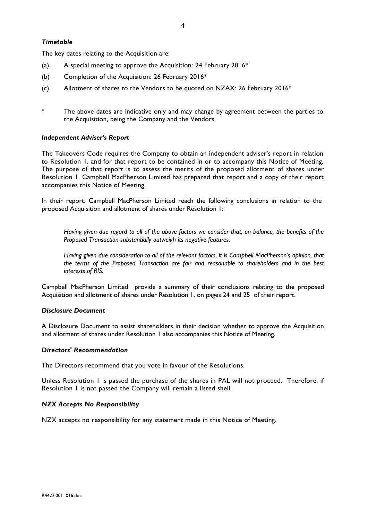# *Timetable*

The key dates relating to the Acquisition are:

- (a) A special meeting to approve the Acquisition: 24 February 2016 $*$
- (b) Completion of the Acquisition: 26 February 2016\*
- (c) Allotment of shares to the Vendors to be quoted on NZAX: 26 February 2016\*
- The above dates are indicative only and may change by agreement between the parties to the Acquisition, being the Company and the Vendors.

## *Independent Adviser's Report*

The Takeovers Code requires the Company to obtain an independent adviser's report in relation to Resolution 1, and for that report to be contained in or to accompany this Notice of Meeting. The purpose of that report is to assess the merits of the proposed allotment of shares under Resolution 1. Campbell MacPherson Limited has prepared that report and a copy of their report accompanies this Notice of Meeting.

In their report, Campbell MacPherson Limited reach the following conclusions in relation to the proposed Acquisition and allotment of shares under Resolution 1:

*Having given due regard to all of the above factors we consider that, on balance, the benefits of the Proposed Transaction substantially outweigh its negative features.*

*Having given due consideration to all of the relevant factors, it is Campbell MacPherson's opinion, that the terms of the Proposed Transaction are fair and reasonable to shareholders and in the best interests of RIS.*

Campbell MacPherson Limited provide a summary of their conclusions relating to the proposed Acquisition and allotment of shares under Resolution 1, on pages 24 and 25 of their report.

### *Disclosure Document*

A Disclosure Document to assist shareholders in their decision whether to approve the Acquisition and allotment of shares under Resolution 1 also accompanies this Notice of Meeting.

## *Directors' Recommendation*

The Directors recommend that you vote in favour of the Resolutions.

Unless Resolution 1 is passed the purchase of the shares in PAL will not proceed. Therefore, if Resolution 1 is not passed the Company will remain a listed shell.

### *NZX Accepts No Responsibility*

NZX accepts no responsibility for any statement made in this Notice of Meeting.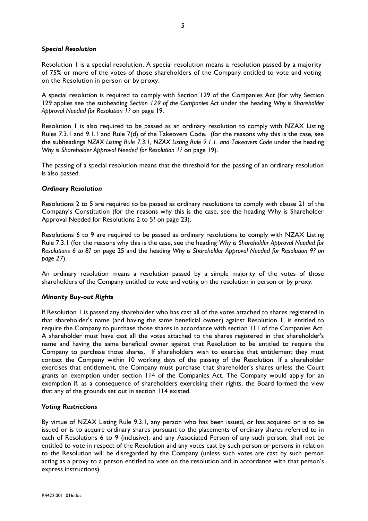# *Special Resolution*

Resolution 1 is a special resolution. A special resolution means a resolution passed by a majority of 75% or more of the votes of those shareholders of the Company entitled to vote and voting on the Resolution in person or by proxy.

A special resolution is required to comply with Section 129 of the Companies Act (for why Section 129 applies see the subheading *Section 129 of the Companies Act* under the heading *Why is Shareholder Approval Needed for Resolution 1?* on page 19.

Resolution 1 is also required to be passed as an ordinary resolution to comply with NZAX Listing Rules 7.3.1 and 9.1.1 and Rule 7(d) of the Takeovers Code. (for the reasons why this is the case, see the subheadings *NZAX Listing Rule 7.3.1, NZAX Listing Rule 9.1.1. and Takeovers Code* under the heading *Why is Shareholder Approval Needed for Resolution 1?* on page 19).

The passing of a special resolution means that the threshold for the passing of an ordinary resolution is also passed.

# *Ordinary Resolution*

Resolutions 2 to 5 are required to be passed as ordinary resolutions to comply with clause 21 of the Company's Constitution (for the reasons why this is the case, see the heading Why is Shareholder Approval Needed for Resolutions 2 to 5? on page 23).

Resolutions 6 to 9 are required to be passed as ordinary resolutions to comply with NZAX Listing Rule 7.3.1 (for the reasons why this is the case, see the heading *Why is Shareholder Approval Needed for Resolutions 6 to 8?* on page 25 and the heading *Why is Shareholder Approval Needed for Resolution 9? on page 27*).

An ordinary resolution means a resolution passed by a simple majority of the votes of those shareholders of the Company entitled to vote and voting on the resolution in person or by proxy.

# *Minority Buy-out Rights*

If Resolution 1 is passed any shareholder who has cast all of the votes attached to shares registered in that shareholder's name (and having the same beneficial owner) against Resolution 1, is entitled to require the Company to purchase those shares in accordance with section 111 of the Companies Act. A shareholder must have cast all the votes attached to the shares registered in that shareholder's name and having the same beneficial owner against that Resolution to be entitled to require the Company to purchase those shares. If shareholders wish to exercise that entitlement they must contact the Company within 10 working days of the passing of the Resolution. If a shareholder exercises that entitlement, the Company must purchase that shareholder's shares unless the Court grants an exemption under section 114 of the Companies Act. The Company would apply for an exemption if, as a consequence of shareholders exercising their rights, the Board formed the view that any of the grounds set out in section 114 existed.

# *Voting Restrictions*

By virtue of NZAX Listing Rule 9.3.1, any person who has been issued, or has acquired or is to be issued or is to acquire ordinary shares pursuant to the placements of ordinary shares referred to in each of Resolutions 6 to 9 (inclusive), and any Associated Person of any such person, shall not be entitled to vote in respect of the Resolution and any votes cast by such person or persons in relation to the Resolution will be disregarded by the Company (unless such votes are cast by such person acting as a proxy to a person entitled to vote on the resolution and in accordance with that person's express instructions).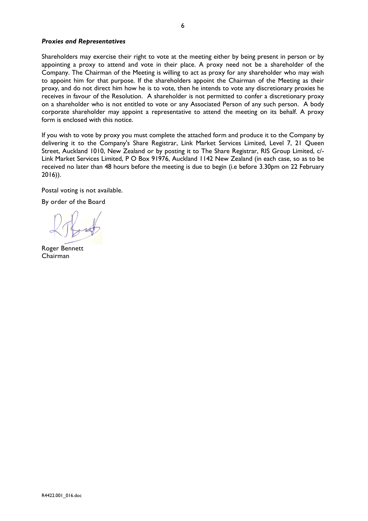## *Proxies and Representatives*

Shareholders may exercise their right to vote at the meeting either by being present in person or by appointing a proxy to attend and vote in their place. A proxy need not be a shareholder of the Company. The Chairman of the Meeting is willing to act as proxy for any shareholder who may wish to appoint him for that purpose. If the shareholders appoint the Chairman of the Meeting as their proxy, and do not direct him how he is to vote, then he intends to vote any discretionary proxies he receives in favour of the Resolution.A shareholder is not permitted to confer a discretionary proxy on a shareholder who is not entitled to vote or any Associated Person of any such person. A body corporate shareholder may appoint a representative to attend the meeting on its behalf. A proxy form is enclosed with this notice.

If you wish to vote by proxy you must complete the attached form and produce it to the Company by delivering it to the Company's Share Registrar, Link Market Services Limited, Level 7, 21 Queen Street, Auckland 1010, New Zealand or by posting it to The Share Registrar, RIS Group Limited, c/- Link Market Services Limited, P O Box 91976, Auckland 1142 New Zealand (in each case, so as to be received no later than 48 hours before the meeting is due to begin (i.e before 3.30pm on 22 February 2016)).

Postal voting is not available.

By order of the Board

Roger Bennett Chairman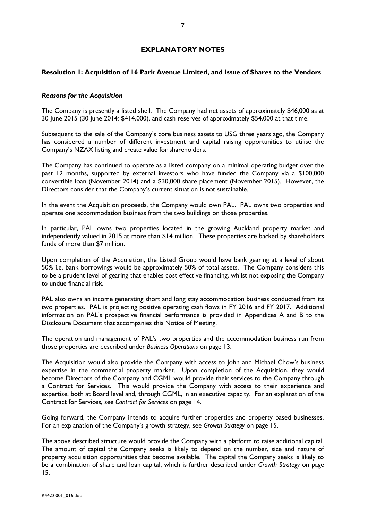# **EXPLANATORY NOTES**

# **Resolution 1: Acquisition of 16 Park Avenue Limited, and Issue of Shares to the Vendors**

## *Reasons for the Acquisition*

The Company is presently a listed shell. The Company had net assets of approximately \$46,000 as at 30 June 2015 (30 June 2014: \$414,000), and cash reserves of approximately \$54,000 at that time.

Subsequent to the sale of the Company's core business assets to USG three years ago, the Company has considered a number of different investment and capital raising opportunities to utilise the Company's NZAX listing and create value for shareholders.

The Company has continued to operate as a listed company on a minimal operating budget over the past 12 months, supported by external investors who have funded the Company via a \$100,000 convertible loan (November 2014) and a \$30,000 share placement (November 2015). However, the Directors consider that the Company's current situation is not sustainable.

In the event the Acquisition proceeds, the Company would own PAL. PAL owns two properties and operate one accommodation business from the two buildings on those properties.

In particular, PAL owns two properties located in the growing Auckland property market and independently valued in 2015 at more than \$14 million. These properties are backed by shareholders funds of more than \$7 million.

Upon completion of the Acquisition, the Listed Group would have bank gearing at a level of about 50% i.e. bank borrowings would be approximately 50% of total assets. The Company considers this to be a prudent level of gearing that enables cost effective financing, whilst not exposing the Company to undue financial risk.

PAL also owns an income generating short and long stay accommodation business conducted from its two properties. PAL is projecting positive operating cash flows in FY 2016 and FY 2017. Additional information on PAL's prospective financial performance is provided in Appendices A and B to the Disclosure Document that accompanies this Notice of Meeting.

The operation and management of PAL's two properties and the accommodation business run from those properties are described under *Business Operations* on page 13.

The Acquisition would also provide the Company with access to John and Michael Chow's business expertise in the commercial property market. Upon completion of the Acquisition, they would become Directors of the Company and CGML would provide their services to the Company through a Contract for Services. This would provide the Company with access to their experience and expertise, both at Board level and, through CGML, in an executive capacity. For an explanation of the Contract for Services, see *Contract for Services* on page 14.

Going forward, the Company intends to acquire further properties and property based businesses. For an explanation of the Company's growth strategy, see *Growth Strategy* on page 15.

The above described structure would provide the Company with a platform to raise additional capital. The amount of capital the Company seeks is likely to depend on the number, size and nature of property acquisition opportunities that become available. The capital the Company seeks is likely to be a combination of share and loan capital, which is further described under *Growth Strategy* on page 15.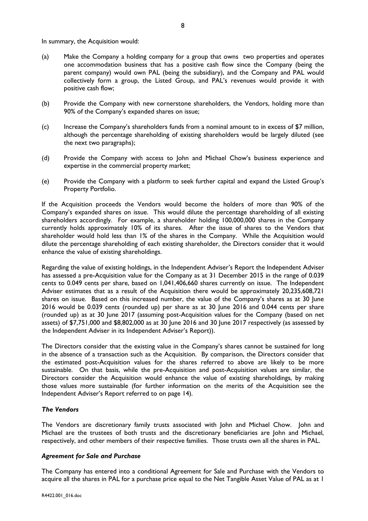In summary, the Acquisition would:

- (a) Make the Company a holding company for a group that owns two properties and operates one accommodation business that has a positive cash flow since the Company (being the parent company) would own PAL (being the subsidiary), and the Company and PAL would collectively form a group, the Listed Group, and PAL's revenues would provide it with positive cash flow;
- (b) Provide the Company with new cornerstone shareholders, the Vendors, holding more than 90% of the Company's expanded shares on issue;
- (c) Increase the Company's shareholders funds from a nominal amount to in excess of \$7 million, although the percentage shareholding of existing shareholders would be largely diluted (see the next two paragraphs);
- (d) Provide the Company with access to John and Michael Chow's business experience and expertise in the commercial property market;
- (e) Provide the Company with a platform to seek further capital and expand the Listed Group's Property Portfolio.

If the Acquisition proceeds the Vendors would become the holders of more than 90% of the Company's expanded shares on issue. This would dilute the percentage shareholding of all existing shareholders accordingly. For example, a shareholder holding 100,000,000 shares in the Company currently holds approximately 10% of its shares. After the issue of shares to the Vendors that shareholder would hold less than 1% of the shares in the Company. While the Acquisition would dilute the percentage shareholding of each existing shareholder, the Directors consider that it would enhance the value of existing shareholdings.

Regarding the value of existing holdings, in the Independent Adviser's Report the Independent Adviser has assessed a pre-Acquisition value for the Company as at 31 December 2015 in the range of 0.039 cents to 0.049 cents per share, based on 1,041,406,660 shares currently on issue. The Independent Adviser estimates that as a result of the Acquisition there would be approximately 20,235,608,721 shares on issue. Based on this increased number, the value of the Company's shares as at 30 June 2016 would be 0.039 cents (rounded up) per share as at 30 June 2016 and 0.044 cents per share (rounded up) as at 30 June 2017 (assuming post-Acquisition values for the Company (based on net assets) of \$7,751,000 and \$8,802,000 as at 30 June 2016 and 30 June 2017 respectively (as assessed by the Independent Adviser in its Independent Adviser's Report)).

The Directors consider that the existing value in the Company's shares cannot be sustained for long in the absence of a transaction such as the Acquisition. By comparison, the Directors consider that the estimated post-Acquisition values for the shares referred to above are likely to be more sustainable. On that basis, while the pre-Acquisition and post-Acquisition values are similar, the Directors consider the Acquisition would enhance the value of existing shareholdings, by making those values more sustainable (for further information on the merits of the Acquisition see the Independent Adviser's Report referred to on page 14).

# *The Vendors*

The Vendors are discretionary family trusts associated with John and Michael Chow. John and Michael are the trustees of both trusts and the discretionary beneficiaries are John and Michael, respectively, and other members of their respective families. Those trusts own all the shares in PAL.

# *Agreement for Sale and Purchase*

The Company has entered into a conditional Agreement for Sale and Purchase with the Vendors to acquire all the shares in PAL for a purchase price equal to the Net Tangible Asset Value of PAL as at 1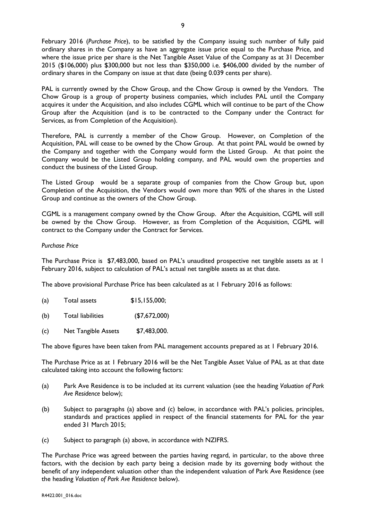February 2016 (*Purchase Price*), to be satisfied by the Company issuing such number of fully paid ordinary shares in the Company as have an aggregate issue price equal to the Purchase Price, and where the issue price per share is the Net Tangible Asset Value of the Company as at 31 December 2015 (\$106,000) plus \$300,000 but not less than \$350,000 i.e. \$406,000 divided by the number of ordinary shares in the Company on issue at that date (being 0.039 cents per share).

PAL is currently owned by the Chow Group, and the Chow Group is owned by the Vendors. The Chow Group is a group of property business companies, which includes PAL until the Company acquires it under the Acquisition, and also includes CGML which will continue to be part of the Chow Group after the Acquisition (and is to be contracted to the Company under the Contract for Services, as from Completion of the Acquisition).

Therefore, PAL is currently a member of the Chow Group. However, on Completion of the Acquisition, PAL will cease to be owned by the Chow Group. At that point PAL would be owned by the Company and together with the Company would form the Listed Group. At that point the Company would be the Listed Group holding company, and PAL would own the properties and conduct the business of the Listed Group.

The Listed Group would be a separate group of companies from the Chow Group but, upon Completion of the Acquisition, the Vendors would own more than 90% of the shares in the Listed Group and continue as the owners of the Chow Group.

CGML is a management company owned by the Chow Group. After the Acquisition, CGML will still be owned by the Chow Group. However, as from Completion of the Acquisition, CGML will contract to the Company under the Contract for Services.

## *Purchase Price*

The Purchase Price is \$7,483,000, based on PAL's unaudited prospective net tangible assets as at I February 2016, subject to calculation of PAL's actual net tangible assets as at that date.

The above provisional Purchase Price has been calculated as at 1 February 2016 as follows:

| (a) | Total assets | \$15, 155, 000; |
|-----|--------------|-----------------|
|-----|--------------|-----------------|

- (b) Total liabilities (\$7,672,000)
- (c) Net Tangible Assets \$7,483,000.

The above figures have been taken from PAL management accounts prepared as at 1 February 2016.

The Purchase Price as at 1 February 2016 will be the Net Tangible Asset Value of PAL as at that date calculated taking into account the following factors:

- (a) Park Ave Residence is to be included at its current valuation (see the heading *Valuation of Park Ave Residence* below);
- (b) Subject to paragraphs (a) above and (c) below, in accordance with PAL's policies, principles, standards and practices applied in respect of the financial statements for PAL for the year ended 31 March 2015;
- (c) Subject to paragraph (a) above, in accordance with NZIFRS.

The Purchase Price was agreed between the parties having regard, in particular, to the above three factors, with the decision by each party being a decision made by its governing body without the benefit of any independent valuation other than the independent valuation of Park Ave Residence (see the heading *Valuation of Park Ave Residence* below).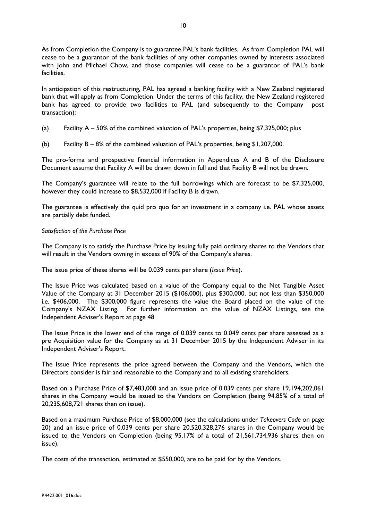As from Completion the Company is to guarantee PAL's bank facilities. As from Completion PAL will cease to be a guarantor of the bank facilities of any other companies owned by interests associated with John and Michael Chow, and those companies will cease to be a guarantor of PAL's bank facilities.

In anticipation of this restructuring, PAL has agreed a banking facility with a New Zealand registered bank that will apply as from Completion. Under the terms of this facility, the New Zealand registered bank has agreed to provide two facilities to PAL (and subsequently to the Company post transaction):

- (a) Facility A 50% of the combined valuation of PAL's properties, being \$7,325,000; plus
- (b) Facility B 8% of the combined valuation of PAL's properties, being \$1,207,000.

The pro-forma and prospective financial information in Appendices A and B of the Disclosure Document assume that Facility A will be drawn down in full and that Facility B will not be drawn.

The Company's guarantee will relate to the full borrowings which are forecast to be \$7,325,000, however they could increase to \$8,532,000 if Facility B is drawn.

The guarantee is effectively the quid pro quo for an investment in a company i.e. PAL whose assets are partially debt funded.

## *Satisfaction of the Purchase Price*

The Company is to satisfy the Purchase Price by issuing fully paid ordinary shares to the Vendors that will result in the Vendors owning in excess of 90% of the Company's shares.

The issue price of these shares will be 0.039 cents per share (*Issue Price*).

The Issue Price was calculated based on a value of the Company equal to the Net Tangible Asset Value of the Company at 31 December 2015 (\$106,000), plus \$300,000, but not less than \$350,000 i.e. \$406,000. The \$300,000 figure represents the value the Board placed on the value of the Company's NZAX Listing. For further information on the value of NZAX Listings, see the Independent Adviser's Report at page 48

The Issue Price is the lower end of the range of 0.039 cents to 0.049 cents per share assessed as a pre Acquisition value for the Company as at 31 December 2015 by the Independent Adviser in its Independent Adviser's Report.

The Issue Price represents the price agreed between the Company and the Vendors, which the Directors consider is fair and reasonable to the Company and to all existing shareholders.

Based on a Purchase Price of \$7,483,000 and an issue price of 0.039 cents per share 19,194,202,061 shares in the Company would be issued to the Vendors on Completion (being 94.85% of a total of 20,235,608,721 shares then on issue).

Based on a maximum Purchase Price of \$8,000,000 (see the calculations under *Takeovers Code* on page 20) and an issue price of 0.039 cents per share 20,520,328,276 shares in the Company would be issued to the Vendors on Completion (being 95.17% of a total of 21,561,734,936 shares then on issue).

The costs of the transaction, estimated at \$550,000, are to be paid for by the Vendors.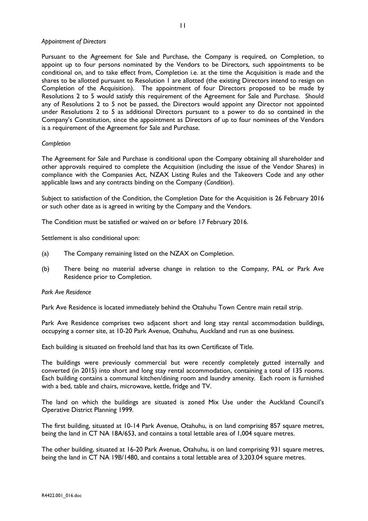### *Appointment of Directors*

Pursuant to the Agreement for Sale and Purchase, the Company is required, on Completion, to appoint up to four persons nominated by the Vendors to be Directors, such appointments to be conditional on, and to take effect from, Completion i.e. at the time the Acquisition is made and the shares to be allotted pursuant to Resolution 1 are allotted (the existing Directors intend to resign on Completion of the Acquisition). The appointment of four Directors proposed to be made by Resolutions 2 to 5 would satisfy this requirement of the Agreement for Sale and Purchase. Should any of Resolutions 2 to 5 not be passed, the Directors would appoint any Director not appointed under Resolutions 2 to 5 as additional Directors pursuant to a power to do so contained in the Company's Constitution, since the appointment as Directors of up to four nominees of the Vendors is a requirement of the Agreement for Sale and Purchase.

### *Completion*

The Agreement for Sale and Purchase is conditional upon the Company obtaining all shareholder and other approvals required to complete the Acquisition (including the issue of the Vendor Shares) in compliance with the Companies Act, NZAX Listing Rules and the Takeovers Code and any other applicable laws and any contracts binding on the Company (*Condition*).

Subject to satisfaction of the Condition, the Completion Date for the Acquisition is 26 February 2016 or such other date as is agreed in writing by the Company and the Vendors.

The Condition must be satisfied or waived on or before 17 February 2016.

Settlement is also conditional upon:

- (a) The Company remaining listed on the NZAX on Completion.
- (b) There being no material adverse change in relation to the Company, PAL or Park Ave Residence prior to Completion.

### *Park Ave Residence*

Park Ave Residence is located immediately behind the Otahuhu Town Centre main retail strip.

Park Ave Residence comprises two adjacent short and long stay rental accommodation buildings, occupying a corner site, at 10-20 Park Avenue, Otahuhu, Auckland and run as one business.

Each building is situated on freehold land that has its own Certificate of Title.

The buildings were previously commercial but were recently completely gutted internally and converted (in 2015) into short and long stay rental accommodation, containing a total of 135 rooms. Each building contains a communal kitchen/dining room and laundry amenity. Each room is furnished with a bed, table and chairs, microwave, kettle, fridge and TV.

The land on which the buildings are situated is zoned Mix Use under the Auckland Council's Operative District Planning 1999.

The first building, situated at 10-14 Park Avenue, Otahuhu, is on land comprising 857 square metres, being the land in CT NA 18A/653, and contains a total lettable area of 1,004 square metres.

The other building, situated at 16-20 Park Avenue, Otahuhu, is on land comprising 931 square metres, being the land in CT NA 19B/1480, and contains a total lettable area of 3,203.04 square metres.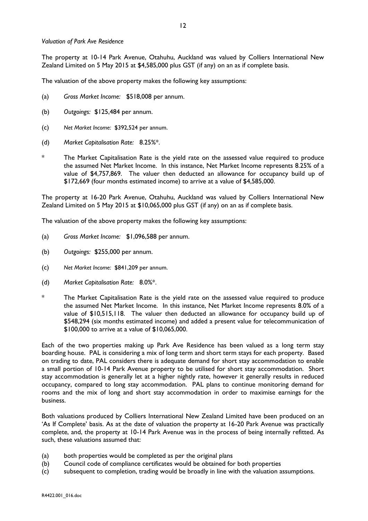## *Valuation of Park Ave Residence*

The property at 10-14 Park Avenue, Otahuhu, Auckland was valued by Colliers International New Zealand Limited on 5 May 2015 at \$4,585,000 plus GST (if any) on an as if complete basis.

The valuation of the above property makes the following key assumptions:

- (a) *Gross Market Income:* \$518,008 per annum.
- (b) *Outgoings:* \$125,484 per annum.
- (c) *Net Market Income:* \$392,524 per annum.
- (d) *Market Capitalisation Rate:* 8.25%\*.
- The Market Capitalisation Rate is the yield rate on the assessed value required to produce the assumed Net Market Income. In this instance, Net Market Income represents 8.25% of a value of \$4,757,869. The valuer then deducted an allowance for occupancy build up of \$172,669 (four months estimated income) to arrive at a value of \$4,585,000.

The property at 16-20 Park Avenue, Otahuhu, Auckland was valued by Colliers International New Zealand Limited on 5 May 2015 at \$10,065,000 plus GST (if any) on an as if complete basis.

The valuation of the above property makes the following key assumptions:

- (a) *Gross Market Income:* \$1,096,588 per annum.
- (b) *Outgoings:* \$255,000 per annum.
- (c) *Net Market Income:* \$841,209 per annum.
- (d) *Market Capitalisation Rate:* 8.0%\*.
- The Market Capitalisation Rate is the yield rate on the assessed value required to produce the assumed Net Market Income. In this instance, Net Market Income represents 8.0% of a value of \$10,515,118. The valuer then deducted an allowance for occupancy build up of \$548,294 (six months estimated income) and added a present value for telecommunication of \$100,000 to arrive at a value of \$10,065,000.

Each of the two properties making up Park Ave Residence has been valued as a long term stay boarding house. PAL is considering a mix of long term and short term stays for each property. Based on trading to date, PAL considers there is adequate demand for short stay accommodation to enable a small portion of 10-14 Park Avenue property to be utilised for short stay accommodation. Short stay accommodation is generally let at a higher nightly rate, however it generally results in reduced occupancy, compared to long stay accommodation. PAL plans to continue monitoring demand for rooms and the mix of long and short stay accommodation in order to maximise earnings for the business.

Both valuations produced by Colliers International New Zealand Limited have been produced on an 'As If Complete' basis. As at the date of valuation the property at 16-20 Park Avenue was practically complete, and, the property at 10-14 Park Avenue was in the process of being internally refitted. As such, these valuations assumed that:

- (a) both properties would be completed as per the original plans
- (b) Council code of compliance certificates would be obtained for both properties
- (c) subsequent to completion, trading would be broadly in line with the valuation assumptions.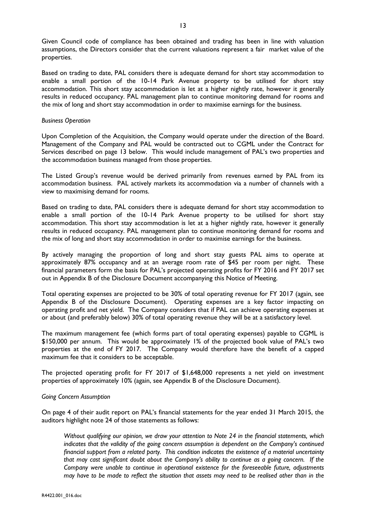Given Council code of compliance has been obtained and trading has been in line with valuation assumptions, the Directors consider that the current valuations represent a fair market value of the properties.

Based on trading to date, PAL considers there is adequate demand for short stay accommodation to enable a small portion of the 10-14 Park Avenue property to be utilised for short stay accommodation. This short stay accommodation is let at a higher nightly rate, however it generally results in reduced occupancy. PAL management plan to continue monitoring demand for rooms and the mix of long and short stay accommodation in order to maximise earnings for the business.

### *Business Operation*

Upon Completion of the Acquisition, the Company would operate under the direction of the Board. Management of the Company and PAL would be contracted out to CGML under the Contract for Services described on page 13 below. This would include management of PAL's two properties and the accommodation business managed from those properties.

The Listed Group's revenue would be derived primarily from revenues earned by PAL from its accommodation business. PAL actively markets its accommodation via a number of channels with a view to maximising demand for rooms.

Based on trading to date, PAL considers there is adequate demand for short stay accommodation to enable a small portion of the 10-14 Park Avenue property to be utilised for short stay accommodation. This short stay accommodation is let at a higher nightly rate, however it generally results in reduced occupancy. PAL management plan to continue monitoring demand for rooms and the mix of long and short stay accommodation in order to maximise earnings for the business.

By actively managing the proportion of long and short stay guests PAL aims to operate at approximately 87% occupancy and at an average room rate of \$45 per room per night. These financial parameters form the basis for PAL's projected operating profits for FY 2016 and FY 2017 set out in Appendix B of the Disclosure Document accompanying this Notice of Meeting.

Total operating expenses are projected to be 30% of total operating revenue for FY 2017 (again, see Appendix B of the Disclosure Document). Operating expenses are a key factor impacting on operating profit and net yield. The Company considers that if PAL can achieve operating expenses at or about (and preferably below) 30% of total operating revenue they will be at a satisfactory level.

The maximum management fee (which forms part of total operating expenses) payable to CGML is \$150,000 per annum. This would be approximately 1% of the projected book value of PAL's two properties at the end of FY 2017. The Company would therefore have the benefit of a capped maximum fee that it considers to be acceptable.

The projected operating profit for FY 2017 of \$1,648,000 represents a net yield on investment properties of approximately 10% (again, see Appendix B of the Disclosure Document).

# *Going Concern Assumption*

On page 4 of their audit report on PAL's financial statements for the year ended 31 March 2015, the auditors highlight note 24 of those statements as follows:

*Without qualifying our opinion, we draw your attention to Note 24 in the financial statements, which indicates that the validity of the going concern assumption is dependent on the Company's continued financial support from a related party. This condition indicates the existence of a material uncertainty that may cast significant doubt about the Company's ability to continue as a going concern. If the Company were unable to continue in operational existence for the foreseeable future, adjustments may have to be made to reflect the situation that assets may need to be realised other than in the*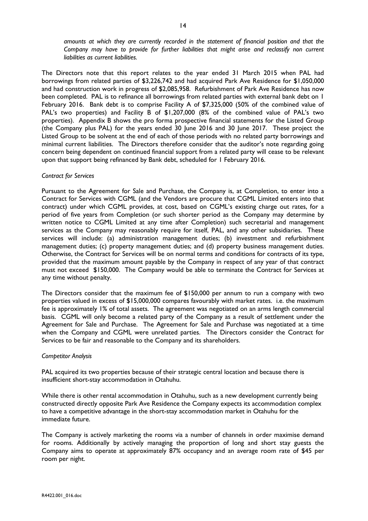The Directors note that this report relates to the year ended 31 March 2015 when PAL had borrowings from related parties of \$3,226,742 and had acquired Park Ave Residence for \$1,050,000 and had construction work in progress of \$2,085,958. Refurbishment of Park Ave Residence has now been completed. PAL is to refinance all borrowings from related parties with external bank debt on 1 February 2016. Bank debt is to comprise Facility A of \$7,325,000 (50% of the combined value of PAL's two properties) and Facility B of \$1,207,000 (8% of the combined value of PAL's two properties). Appendix B shows the pro forma prospective financial statements for the Listed Group (the Company plus PAL) for the years ended 30 June 2016 and 30 June 2017. These project the Listed Group to be solvent at the end of each of those periods with no related party borrowings and minimal current liabilities. The Directors therefore consider that the auditor's note regarding going concern being dependent on continued financial support from a related party will cease to be relevant upon that support being refinanced by Bank debt, scheduled for 1 February 2016.

## *Contract for Services*

Pursuant to the Agreement for Sale and Purchase, the Company is, at Completion, to enter into a Contract for Services with CGML (and the Vendors are procure that CGML Limited enters into that contract) under which CGML provides, at cost, based on CGML's existing charge out rates, for a period of five years from Completion (or such shorter period as the Company may determine by written notice to CGML Limited at any time after Completion) such secretarial and management services as the Company may reasonably require for itself, PAL, and any other subsidiaries. These services will include: (a) administration management duties; (b) investment and refurbishment management duties; (c) property management duties; and (d) property business management duties. Otherwise, the Contract for Services will be on normal terms and conditions for contracts of its type, provided that the maximum amount payable by the Company in respect of any year of that contract must not exceed \$150,000. The Company would be able to terminate the Contract for Services at any time without penalty.

The Directors consider that the maximum fee of \$150,000 per annum to run a company with two properties valued in excess of \$15,000,000 compares favourably with market rates. i.e. the maximum fee is approximately 1% of total assets. The agreement was negotiated on an arms length commercial basis. CGML will only become a related party of the Company as a result of settlement under the Agreement for Sale and Purchase. The Agreement for Sale and Purchase was negotiated at a time when the Company and CGML were unrelated parties. The Directors consider the Contract for Services to be fair and reasonable to the Company and its shareholders.

### *Competitor Analysis*

PAL acquired its two properties because of their strategic central location and because there is insufficient short-stay accommodation in Otahuhu.

While there is other rental accommodation in Otahuhu, such as a new development currently being constructed directly opposite Park Ave Residence the Company expects its accommodation complex to have a competitive advantage in the short-stay accommodation market in Otahuhu for the immediate future.

The Company is actively marketing the rooms via a number of channels in order maximise demand for rooms. Additionally by actively managing the proportion of long and short stay guests the Company aims to operate at approximately 87% occupancy and an average room rate of \$45 per room per night.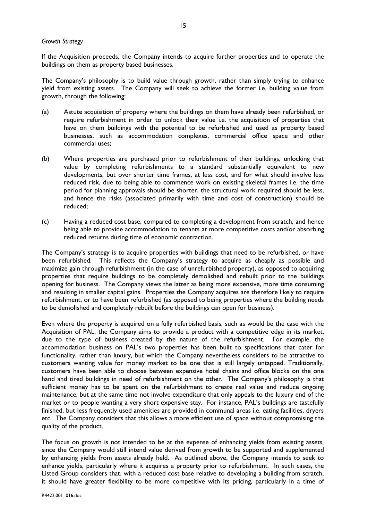### *Growth Strategy*

If the Acquisition proceeds, the Company intends to acquire further properties and to operate the buildings on them as property based businesses.

The Company's philosophy is to build value through growth, rather than simply trying to enhance yield from existing assets. The Company will seek to achieve the former i.e. building value from growth, through the following:

- (a) Astute acquisition of property where the buildings on them have already been refurbished, or require refurbishment in order to unlock their value i.e. the acquisition of properties that have on them buildings with the potential to be refurbished and used as property based businesses, such as accommodation complexes, commercial office space and other commercial uses;
- (b) Where properties are purchased prior to refurbishment of their buildings, unlocking that value by completing refurbishments to a standard substantially equivalent to new developments, but over shorter time frames, at less cost, and for what should involve less reduced risk, due to being able to commence work on existing skeletal frames i.e. the time period for planning approvals should be shorter, the structural work required should be less, and hence the risks (associated primarily with time and cost of construction) should be reduced;
- (c) Having a reduced cost base, compared to completing a development from scratch, and hence being able to provide accommodation to tenants at more competitive costs and/or absorbing reduced returns during time of economic contraction.

The Company's strategy is to acquire properties with buildings that need to be refurbished, or have been refurbished. This reflects the Company's strategy to acquire as cheaply as possible and maximize gain through refurbishment (in the case of unrefurbished property), as opposed to acquiring properties that require buildings to be completely demolished and rebuilt prior to the buildings opening for business. The Company views the latter as being more expensive, more time consuming and resulting in smaller capital gains. Properties the Company acquires are therefore likely to require refurbishment, or to have been refurbished (as opposed to being properties where the building needs to be demolished and completely rebuilt before the buildings can open for business).

Even where the property is acquired on a fully refurbished basis, such as would be the case with the Acquisition of PAL, the Company aims to provide a product with a competitive edge in its market, due to the type of business created by the nature of the refurbishment. For example, the accommodation business on PAL's two properties has been built to specifications that cater for functionality, rather than luxury, but which the Company nevertheless considers to be attractive to customers wanting value for money market to be one that is still largely untapped. Traditionally, customers have been able to choose between expensive hotel chains and office blocks on the one hand and tired buildings in need of refurbishment on the other. The Company's philosophy is that sufficient money has to be spent on the refurbishment to create real value and reduce ongoing maintenance, but at the same time not involve expenditure that only appeals to the luxury end of the market or to people wanting a very short expensive stay. For instance, PAL's buildings are tastefully finished, but less frequently used amenities are provided in communal areas i.e. eating facilities, dryers etc. The Company considers that this allows a more efficient use of space without compromising the quality of the product.

The focus on growth is not intended to be at the expense of enhancing yields from existing assets, since the Company would still intend value derived from growth to be supported and supplemented by enhancing yields from assets already held. As outlined above, the Company intends to seek to enhance yields, particularly where it acquires a property prior to refurbishment. In such cases, the Listed Group considers that, with a reduced cost base relative to developing a building from scratch, it should have greater flexibility to be more competitive with its pricing, particularly in a time of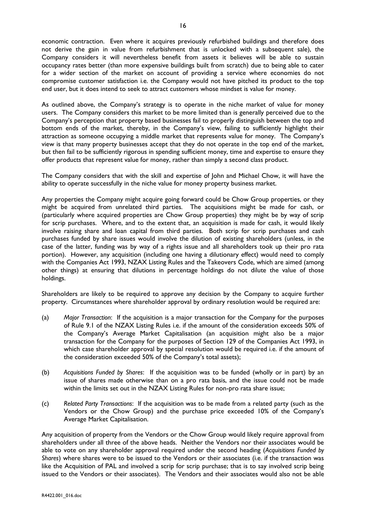economic contraction. Even where it acquires previously refurbished buildings and therefore does not derive the gain in value from refurbishment that is unlocked with a subsequent sale), the Company considers it will nevertheless benefit from assets it believes will be able to sustain occupancy rates better (than more expensive buildings built from scratch) due to being able to cater for a wider section of the market on account of providing a service where economies do not compromise customer satisfaction i.e. the Company would not have pitched its product to the top end user, but it does intend to seek to attract customers whose mindset is value for money.

As outlined above, the Company's strategy is to operate in the niche market of value for money users. The Company considers this market to be more limited than is generally perceived due to the Company's perception that property based businesses fail to properly distinguish between the top and bottom ends of the market, thereby, in the Company's view, failing to sufficiently highlight their attraction as someone occupying a middle market that represents value for money. The Company's view is that many property businesses accept that they do not operate in the top end of the market, but then fail to be sufficiently rigorous in spending sufficient money, time and expertise to ensure they offer products that represent value for money, rather than simply a second class product.

The Company considers that with the skill and expertise of John and Michael Chow, it will have the ability to operate successfully in the niche value for money property business market.

Any properties the Company might acquire going forward could be Chow Group properties, or they might be acquired from unrelated third parties. The acquisitions might be made for cash, or (particularly where acquired properties are Chow Group properties) they might be by way of scrip for scrip purchases. Where, and to the extent that, an acquisition is made for cash, it would likely involve raising share and loan capital from third parties. Both scrip for scrip purchases and cash purchases funded by share issues would involve the dilution of existing shareholders (unless, in the case of the latter, funding was by way of a rights issue and all shareholders took up their pro rata portion). However, any acquisition (including one having a dilutionary effect) would need to comply with the Companies Act 1993, NZAX Listing Rules and the Takeovers Code, which are aimed (among other things) at ensuring that dilutions in percentage holdings do not dilute the value of those holdings.

Shareholders are likely to be required to approve any decision by the Company to acquire further property. Circumstances where shareholder approval by ordinary resolution would be required are:

- (a) *Major Transaction*: If the acquisition is a major transaction for the Company for the purposes of Rule 9.1 of the NZAX Listing Rules i.e. if the amount of the consideration exceeds 50% of the Company's Average Market Capitalisation (an acquisition might also be a major transaction for the Company for the purposes of Section 129 of the Companies Act 1993, in which case shareholder approval by special resolution would be required i.e. if the amount of the consideration exceeded 50% of the Company's total assets);
- (b) *Acquisitions Funded by Shares*: If the acquisition was to be funded (wholly or in part) by an issue of shares made otherwise than on a pro rata basis, and the issue could not be made within the limits set out in the NZAX Listing Rules for non-pro rata share issue;
- (c) *Related Party Transactions*: If the acquisition was to be made from a related party (such as the Vendors or the Chow Group) and the purchase price exceeded 10% of the Company's Average Market Capitalisation.

Any acquisition of property from the Vendors or the Chow Group would likely require approval from shareholders under all three of the above heads. Neither the Vendors nor their associates would be able to vote on any shareholder approval required under the second heading (*Acquisitions Funded by Shares*) where shares were to be issued to the Vendors or their associates (i.e. if the transaction was like the Acquisition of PAL and involved a scrip for scrip purchase; that is to say involved scrip being issued to the Vendors or their associates). The Vendors and their associates would also not be able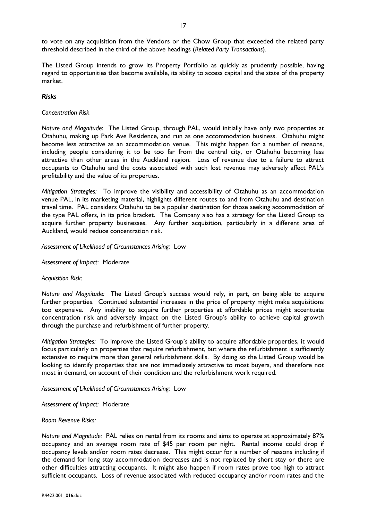to vote on any acquisition from the Vendors or the Chow Group that exceeded the related party threshold described in the third of the above headings (*Related Party Transactions*).

The Listed Group intends to grow its Property Portfolio as quickly as prudently possible, having regard to opportunities that become available, its ability to access capital and the state of the property market.

## *Risks*

### *Concentration Risk*

*Nature and Magnitude*: The Listed Group, through PAL, would initially have only two properties at Otahuhu, making up Park Ave Residence, and run as one accommodation business. Otahuhu might become less attractive as an accommodation venue. This might happen for a number of reasons, including people considering it to be too far from the central city, or Otahuhu becoming less attractive than other areas in the Auckland region. Loss of revenue due to a failure to attract occupants to Otahuhu and the costs associated with such lost revenue may adversely affect PAL's profitability and the value of its properties.

*Mitigation Strategies:* To improve the visibility and accessibility of Otahuhu as an accommodation venue PAL, in its marketing material, highlights different routes to and from Otahuhu and destination travel time. PAL considers Otahuhu to be a popular destination for those seeking accommodation of the type PAL offers, in its price bracket. The Company also has a strategy for the Listed Group to acquire further property businesses. Any further acquisition, particularly in a different area of Auckland, would reduce concentration risk.

*Assessment of Likelihood of Circumstances Arising:* Low

*Assessment of Impact*: Moderate

### *Acquisition Risk:*

*Nature and Magnitude:* The Listed Group's success would rely, in part, on being able to acquire further properties. Continued substantial increases in the price of property might make acquisitions too expensive. Any inability to acquire further properties at affordable prices might accentuate concentration risk and adversely impact on the Listed Group's ability to achieve capital growth through the purchase and refurbishment of further property.

*Mitigation Strategies:* To improve the Listed Group's ability to acquire affordable properties, it would focus particularly on properties that require refurbishment, but where the refurbishment is sufficiently extensive to require more than general refurbishment skills. By doing so the Listed Group would be looking to identify properties that are not immediately attractive to most buyers, and therefore not most in demand, on account of their condition and the refurbishment work required.

### *Assessment of Likelihood of Circumstances Arising:* Low

*Assessment of Impact:* Moderate

#### *Room Revenue Risks:*

*Nature and Magnitude:* PAL relies on rental from its rooms and aims to operate at approximately 87% occupancy and an average room rate of \$45 per room per night. Rental income could drop if occupancy levels and/or room rates decrease. This might occur for a number of reasons including if the demand for long stay accommodation decreases and is not replaced by short stay or there are other difficulties attracting occupants. It might also happen if room rates prove too high to attract sufficient occupants. Loss of revenue associated with reduced occupancy and/or room rates and the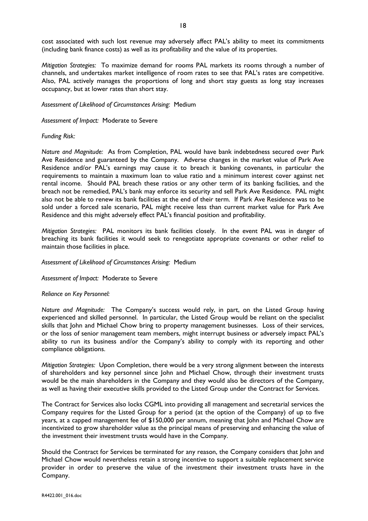cost associated with such lost revenue may adversely affect PAL's ability to meet its commitments (including bank finance costs) as well as its profitability and the value of its properties.

*Mitigation Strategies:* To maximize demand for rooms PAL markets its rooms through a number of channels, and undertakes market intelligence of room rates to see that PAL's rates are competitive. Also, PAL actively manages the proportions of long and short stay guests as long stay increases occupancy, but at lower rates than short stay.

*Assessment of Likelihood of Circumstances Arising:* Medium

*Assessment of Impact:* Moderate to Severe

*Funding Risk:*

*Nature and Magnitude:* As from Completion, PAL would have bank indebtedness secured over Park Ave Residence and guaranteed by the Company. Adverse changes in the market value of Park Ave Residence and/or PAL's earnings may cause it to breach it banking covenants, in particular the requirements to maintain a maximum loan to value ratio and a minimum interest cover against net rental income. Should PAL breach these ratios or any other term of its banking facilities, and the breach not be remedied, PAL's bank may enforce its security and sell Park Ave Residence. PAL might also not be able to renew its bank facilities at the end of their term. If Park Ave Residence was to be sold under a forced sale scenario, PAL might receive less than current market value for Park Ave Residence and this might adversely effect PAL's financial position and profitability.

*Mitigation Strategies:* PAL monitors its bank facilities closely. In the event PAL was in danger of breaching its bank facilities it would seek to renegotiate appropriate covenants or other relief to maintain those facilities in place.

*Assessment of Likelihood of Circumstances Arising:* Medium

*Assessment of Impact:* Moderate to Severe

*Reliance on Key Personnel:*

*Nature and Magnitude:* The Company's success would rely, in part, on the Listed Group having experienced and skilled personnel. In particular, the Listed Group would be reliant on the specialist skills that John and Michael Chow bring to property management businesses. Loss of their services, or the loss of senior management team members, might interrupt business or adversely impact PAL's ability to run its business and/or the Company's ability to comply with its reporting and other compliance obligations.

*Mitigation Strategies:* Upon Completion, there would be a very strong alignment between the interests of shareholders and key personnel since John and Michael Chow, through their investment trusts would be the main shareholders in the Company and they would also be directors of the Company, as well as having their executive skills provided to the Listed Group under the Contract for Services.

The Contract for Services also locks CGML into providing all management and secretarial services the Company requires for the Listed Group for a period (at the option of the Company) of up to five years, at a capped management fee of \$150,000 per annum, meaning that John and Michael Chow are incentivized to grow shareholder value as the principal means of preserving and enhancing the value of the investment their investment trusts would have in the Company.

Should the Contract for Services be terminated for any reason, the Company considers that John and Michael Chow would nevertheless retain a strong incentive to support a suitable replacement service provider in order to preserve the value of the investment their investment trusts have in the Company.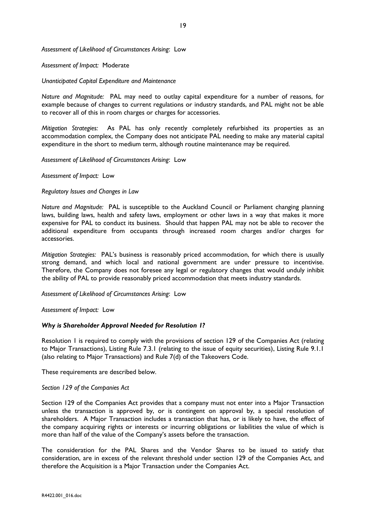*Assessment of Likelihood of Circumstances Arising*: Low

*Assessment of Impact:* Moderate

*Unanticipated Capital Expenditure and Maintenance*

*Nature and Magnitude:* PAL may need to outlay capital expenditure for a number of reasons, for example because of changes to current regulations or industry standards, and PAL might not be able to recover all of this in room charges or charges for accessories.

*Mitigation Strategies:* As PAL has only recently completely refurbished its properties as an accommodation complex, the Company does not anticipate PAL needing to make any material capital expenditure in the short to medium term, although routine maintenance may be required.

*Assessment of Likelihood of Circumstances Arising*: Low

*Assessment of Impact:* Low

*Regulatory Issues and Changes in Law*

*Nature and Magnitude:* PAL is susceptible to the Auckland Council or Parliament changing planning laws, building laws, health and safety laws, employment or other laws in a way that makes it more expensive for PAL to conduct its business. Should that happen PAL may not be able to recover the additional expenditure from occupants through increased room charges and/or charges for accessories.

*Mitigation Strategies:* PAL's business is reasonably priced accommodation, for which there is usually strong demand, and which local and national government are under pressure to incentivise. Therefore, the Company does not foresee any legal or regulatory changes that would unduly inhibit the ability of PAL to provide reasonably priced accommodation that meets industry standards.

*Assessment of Likelihood of Circumstances Arising*: Low

*Assessment of Impact:* Low

### *Why is Shareholder Approval Needed for Resolution 1?*

Resolution 1 is required to comply with the provisions of section 129 of the Companies Act (relating to Major Transactions), Listing Rule 7.3.1 (relating to the issue of equity securities), Listing Rule 9.1.1 (also relating to Major Transactions) and Rule 7(d) of the Takeovers Code.

These requirements are described below.

#### *Section 129 of the Companies Act*

Section 129 of the Companies Act provides that a company must not enter into a Major Transaction unless the transaction is approved by, or is contingent on approval by, a special resolution of shareholders. A Major Transaction includes a transaction that has, or is likely to have, the effect of the company acquiring rights or interests or incurring obligations or liabilities the value of which is more than half of the value of the Company's assets before the transaction.

The consideration for the PAL Shares and the Vendor Shares to be issued to satisfy that consideration, are in excess of the relevant threshold under section 129 of the Companies Act, and therefore the Acquisition is a Major Transaction under the Companies Act.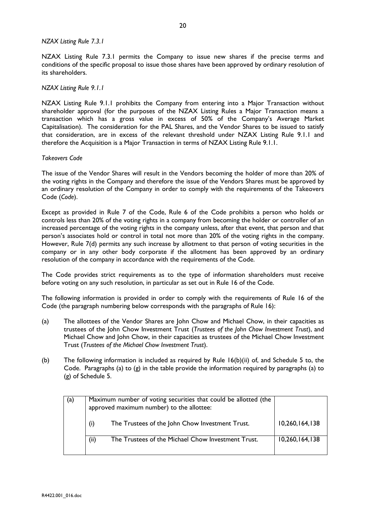## *NZAX Listing Rule 7.3.1*

NZAX Listing Rule 7.3.1 permits the Company to issue new shares if the precise terms and conditions of the specific proposal to issue those shares have been approved by ordinary resolution of its shareholders.

## *NZAX Listing Rule 9.1.1*

NZAX Listing Rule 9.1.1 prohibits the Company from entering into a Major Transaction without shareholder approval (for the purposes of the NZAX Listing Rules a Major Transaction means a transaction which has a gross value in excess of 50% of the Company's Average Market Capitalisation). The consideration for the PAL Shares, and the Vendor Shares to be issued to satisfy that consideration, are in excess of the relevant threshold under NZAX Listing Rule 9.1.1 and therefore the Acquisition is a Major Transaction in terms of NZAX Listing Rule 9.1.1.

## *Takeovers Code*

The issue of the Vendor Shares will result in the Vendors becoming the holder of more than 20% of the voting rights in the Company and therefore the issue of the Vendors Shares must be approved by an ordinary resolution of the Company in order to comply with the requirements of the Takeovers Code (*Code*).

Except as provided in Rule 7 of the Code, Rule 6 of the Code prohibits a person who holds or controls less than 20% of the voting rights in a company from becoming the holder or controller of an increased percentage of the voting rights in the company unless, after that event, that person and that person's associates hold or control in total not more than 20% of the voting rights in the company. However, Rule 7(d) permits any such increase by allotment to that person of voting securities in the company or in any other body corporate if the allotment has been approved by an ordinary resolution of the company in accordance with the requirements of the Code.

The Code provides strict requirements as to the type of information shareholders must receive before voting on any such resolution, in particular as set out in Rule 16 of the Code.

The following information is provided in order to comply with the requirements of Rule 16 of the Code (the paragraph numbering below corresponds with the paragraphs of Rule 16):

- (a) The allottees of the Vendor Shares are John Chow and Michael Chow, in their capacities as trustees of the John Chow Investment Trust (*Trustees of the John Chow Investment Trust*), and Michael Chow and John Chow, in their capacities as trustees of the Michael Chow Investment Trust (*Trustees of the Michael Chow Investment Trust*).
- (b) The following information is included as required by Rule 16(b)(ii) of, and Schedule 5 to, the Code. Paragraphs (a) to (g) in the table provide the information required by paragraphs (a) to (g) of Schedule 5.

| (a) | Maximum number of voting securities that could be allotted (the<br>approved maximum number) to the allottee: |                |
|-----|--------------------------------------------------------------------------------------------------------------|----------------|
|     | The Trustees of the John Chow Investment Trust.<br>(i)                                                       | 10,260,164,138 |
|     | (ii)<br>The Trustees of the Michael Chow Investment Trust.                                                   | 10,260,164,138 |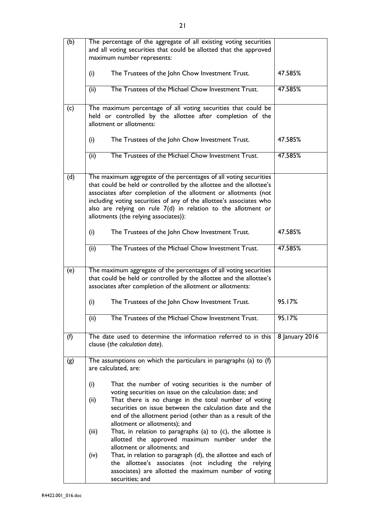| (b) | The percentage of the aggregate of all existing voting securities<br>and all voting securities that could be allotted that the approved<br>maximum number represents:                                                                                                                                                                                                                        |                |
|-----|----------------------------------------------------------------------------------------------------------------------------------------------------------------------------------------------------------------------------------------------------------------------------------------------------------------------------------------------------------------------------------------------|----------------|
|     | (i)<br>The Trustees of the John Chow Investment Trust.                                                                                                                                                                                                                                                                                                                                       | 47.585%        |
|     | The Trustees of the Michael Chow Investment Trust.<br>(ii)                                                                                                                                                                                                                                                                                                                                   | 47.585%        |
| (c) | The maximum percentage of all voting securities that could be<br>held or controlled by the allottee after completion of the<br>allotment or allotments:                                                                                                                                                                                                                                      |                |
|     | (i)<br>The Trustees of the John Chow Investment Trust.                                                                                                                                                                                                                                                                                                                                       | 47.585%        |
|     | The Trustees of the Michael Chow Investment Trust.<br>(ii)                                                                                                                                                                                                                                                                                                                                   | 47.585%        |
| (d) | The maximum aggregate of the percentages of all voting securities<br>that could be held or controlled by the allottee and the allottee's<br>associates after completion of the allotment or allotments (not<br>including voting securities of any of the allottee's associates who<br>also are relying on rule 7(d) in relation to the allotment or<br>allotments (the relying associates)): |                |
|     | (i)<br>The Trustees of the John Chow Investment Trust.                                                                                                                                                                                                                                                                                                                                       | 47.585%        |
|     | The Trustees of the Michael Chow Investment Trust.<br>(ii)                                                                                                                                                                                                                                                                                                                                   | 47.585%        |
| (e) | The maximum aggregate of the percentages of all voting securities<br>that could be held or controlled by the allottee and the allottee's<br>associates after completion of the allotment or allotments:                                                                                                                                                                                      |                |
|     | (i)<br>The Trustees of the John Chow Investment Trust.                                                                                                                                                                                                                                                                                                                                       | 95.17%         |
|     | The Trustees of the Michael Chow Investment Trust.<br>(ii)                                                                                                                                                                                                                                                                                                                                   | 95.17%         |
| (f) | The date used to determine the information referred to in this<br>clause (the calculation date).                                                                                                                                                                                                                                                                                             | 8 January 2016 |
| (g) | The assumptions on which the particulars in paragraphs (a) to $(f)$<br>are calculated, are:                                                                                                                                                                                                                                                                                                  |                |
|     | (i)<br>That the number of voting securities is the number of<br>voting securities on issue on the calculation date; and                                                                                                                                                                                                                                                                      |                |
|     | (ii)<br>That there is no change in the total number of voting<br>securities on issue between the calculation date and the<br>end of the allotment period (other than as a result of the<br>allotment or allotments); and                                                                                                                                                                     |                |
|     | That, in relation to paragraphs (a) to $(c)$ , the allottee is<br>(iii)<br>allotted the approved maximum number under the<br>allotment or allotments; and                                                                                                                                                                                                                                    |                |
|     | (iv)<br>That, in relation to paragraph (d), the allottee and each of<br>the allottee's associates (not including the relying<br>associates) are allotted the maximum number of voting<br>securities; and                                                                                                                                                                                     |                |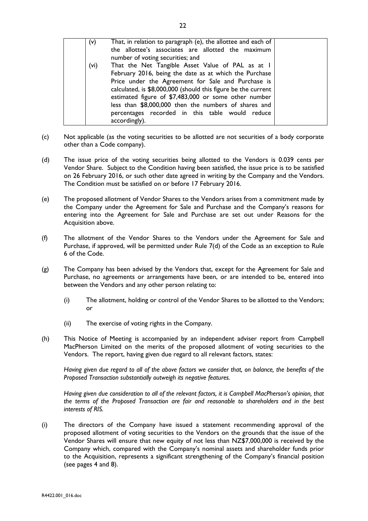| (v)  | That, in relation to paragraph (e), the allottee and each of<br>the allottee's associates are allotted the maximum<br>number of voting securities; and                                                                                                                                                                                                                                                                |  |
|------|-----------------------------------------------------------------------------------------------------------------------------------------------------------------------------------------------------------------------------------------------------------------------------------------------------------------------------------------------------------------------------------------------------------------------|--|
| (vi) | That the Net Tangible Asset Value of PAL as at I<br>February 2016, being the date as at which the Purchase<br>Price under the Agreement for Sale and Purchase is<br>calculated, is \$8,000,000 (should this figure be the current<br>estimated figure of \$7,483,000 or some other number<br>less than \$8,000,000 then the numbers of shares and<br>percentages recorded in this table would reduce<br>accordingly). |  |

- (c) Not applicable (as the voting securities to be allotted are not securities of a body corporate other than a Code company).
- (d) The issue price of the voting securities being allotted to the Vendors is 0.039 cents per Vendor Share. Subject to the Condition having been satisfied, the issue price is to be satisfied on 26 February 2016, or such other date agreed in writing by the Company and the Vendors. The Condition must be satisfied on or before 17 February 2016.
- (e) The proposed allotment of Vendor Shares to the Vendors arises from a commitment made by the Company under the Agreement for Sale and Purchase and the Company's reasons for entering into the Agreement for Sale and Purchase are set out under Reasons for the Acquisition above.
- (f) The allotment of the Vendor Shares to the Vendors under the Agreement for Sale and Purchase, if approved, will be permitted under Rule 7(d) of the Code as an exception to Rule 6 of the Code.
- (g) The Company has been advised by the Vendors that, except for the Agreement for Sale and Purchase, no agreements or arrangements have been, or are intended to be, entered into between the Vendors and any other person relating to:
	- (i) The allotment, holding or control of the Vendor Shares to be allotted to the Vendors; or
	- (ii) The exercise of voting rights in the Company.
- (h) This Notice of Meeting is accompanied by an independent adviser report from Campbell MacPherson Limited on the merits of the proposed allotment of voting securities to the Vendors. The report, having given due regard to all relevant factors, states:

*Having given due regard to all of the above factors we consider that, on balance, the benefits of the Proposed Transaction substantially outweigh its negative features.*

*Having given due consideration to all of the relevant factors, it is Campbell MacPherson's opinion, that the terms of the Proposed Transaction are fair and reasonable to shareholders and in the best interests of RIS.*

(i) The directors of the Company have issued a statement recommending approval of the proposed allotment of voting securities to the Vendors on the grounds that the issue of the Vendor Shares will ensure that new equity of not less than NZ\$7,000,000 is received by the Company which, compared with the Company's nominal assets and shareholder funds prior to the Acquisition, represents a significant strengthening of the Company's financial position (see pages 4 and 8).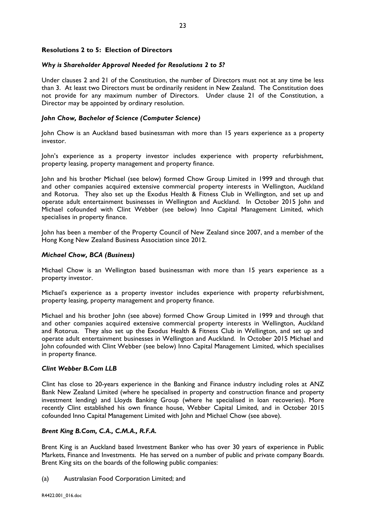# **Resolutions 2 to 5: Election of Directors**

# *Why is Shareholder Approval Needed for Resolutions 2 to 5?*

Under clauses 2 and 21 of the Constitution, the number of Directors must not at any time be less than 3. At least two Directors must be ordinarily resident in New Zealand. The Constitution does not provide for any maximum number of Directors. Under clause 21 of the Constitution, a Director may be appointed by ordinary resolution.

# *John Chow, Bachelor of Science (Computer Science)*

John Chow is an Auckland based businessman with more than 15 years experience as a property investor.

John's experience as a property investor includes experience with property refurbishment, property leasing, property management and property finance.

John and his brother Michael (see below) formed Chow Group Limited in 1999 and through that and other companies acquired extensive commercial property interests in Wellington, Auckland and Rotorua. They also set up the Exodus Health & Fitness Club in Wellington, and set up and operate adult entertainment businesses in Wellington and Auckland. In October 2015 John and Michael cofounded with Clint Webber (see below) Inno Capital Management Limited, which specialises in property finance.

John has been a member of the Property Council of New Zealand since 2007, and a member of the Hong Kong New Zealand Business Association since 2012.

# *Michael Chow, BCA (Business)*

Michael Chow is an Wellington based businessman with more than 15 years experience as a property investor.

Michael's experience as a property investor includes experience with property refurbishment, property leasing, property management and property finance.

Michael and his brother John (see above) formed Chow Group Limited in 1999 and through that and other companies acquired extensive commercial property interests in Wellington, Auckland and Rotorua. They also set up the Exodus Health & Fitness Club in Wellington, and set up and operate adult entertainment businesses in Wellington and Auckland. In October 2015 Michael and John cofounded with Clint Webber (see below) Inno Capital Management Limited, which specialises in property finance.

# *Clint Webber B.Com LLB*

Clint has close to 20-years experience in the Banking and Finance industry including roles at ANZ Bank New Zealand Limited (where he specialised in property and construction finance and property investment lending) and Lloyds Banking Group (where he specialised in loan recoveries). More recently Clint established his own finance house, Webber Capital Limited, and in October 2015 cofounded Inno Capital Management Limited with John and Michael Chow (see above).

# *Brent King B.Com, C.A., C.M.A., R.F.A.*

Brent King is an Auckland based Investment Banker who has over 30 years of experience in Public Markets, Finance and Investments. He has served on a number of public and private company Boards. Brent King sits on the boards of the following public companies:

(a) Australasian Food Corporation Limited; and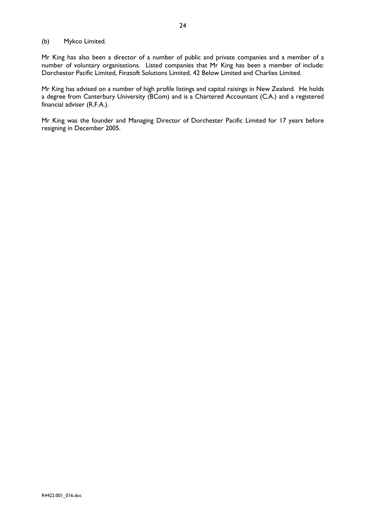# (b) Mykco Limited.

Mr King has also been a director of a number of public and private companies and a member of a number of voluntary organisations. Listed companies that Mr King has been a member of include: Dorchestor Pacific Limited, Finzsoft Solutions Limited, 42 Below Limited and Charlies Limited.

Mr King has advised on a number of high profile listings and capital raisings in New Zealand. He holds a degree from Canterbury University (BCom) and is a Chartered Accountant (C.A.) and a registered financial adviser (R.F.A.).

Mr King was the founder and Managing Director of Dorchester Pacific Limited for 17 years before resigning in December 2005.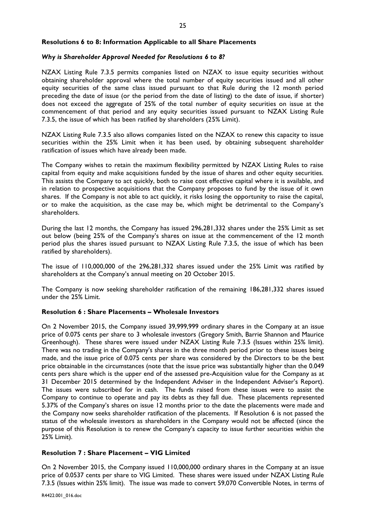# **Resolutions 6 to 8: Information Applicable to all Share Placements**

# *Why is Shareholder Approval Needed for Resolutions 6 to 8?*

NZAX Listing Rule 7.3.5 permits companies listed on NZAX to issue equity securities without obtaining shareholder approval where the total number of equity securities issued and all other equity securities of the same class issued pursuant to that Rule during the 12 month period preceding the date of issue (or the period from the date of listing) to the date of issue, if shorter) does not exceed the aggregate of 25% of the total number of equity securities on issue at the commencement of that period and any equity securities issued pursuant to NZAX Listing Rule 7.3.5, the issue of which has been ratified by shareholders (25% Limit).

NZAX Listing Rule 7.3.5 also allows companies listed on the NZAX to renew this capacity to issue securities within the 25% Limit when it has been used, by obtaining subsequent shareholder ratification of issues which have already been made.

The Company wishes to retain the maximum flexibility permitted by NZAX Listing Rules to raise capital from equity and make acquisitions funded by the issue of shares and other equity securities. This assists the Company to act quickly, both to raise cost effective capital where it is available, and in relation to prospective acquisitions that the Company proposes to fund by the issue of it own shares. If the Company is not able to act quickly, it risks losing the opportunity to raise the capital, or to make the acquisition, as the case may be, which might be detrimental to the Company's shareholders.

During the last 12 months, the Company has issued 296,281,332 shares under the 25% Limit as set out below (being 25% of the Company's shares on issue at the commencement of the 12 month period plus the shares issued pursuant to NZAX Listing Rule 7.3.5, the issue of which has been ratified by shareholders).

The issue of 110,000,000 of the 296,281,332 shares issued under the 25% Limit was ratified by shareholders at the Company's annual meeting on 20 October 2015.

The Company is now seeking shareholder ratification of the remaining 186,281,332 shares issued under the 25% Limit.

# **Resolution 6 : Share Placements – Wholesale Investors**

On 2 November 2015, the Company issued 39,999,999 ordinary shares in the Company at an issue price of 0.075 cents per share to 3 wholesale investors (Gregory Smith, Barrie Shannon and Maurice Greenhough). These shares were issued under NZAX Listing Rule 7.3.5 (Issues within 25% limit). There was no trading in the Company's shares in the three month period prior to these issues being made, and the issue price of 0.075 cents per share was considered by the Directors to be the best price obtainable in the circumstances (note that the issue price was substantially higher than the 0.049 cents pers share which is the upper end of the assessed pre-Acquisition value for the Company as at 31 December 2015 determined by the Independent Adviser in the Independent Adviser's Report). The issues were subscribed for in cash. The funds raised from these issues were to assist the Company to continue to operate and pay its debts as they fall due. These placements represented 5.37% of the Company's shares on issue 12 months prior to the date the placements were made and the Company now seeks shareholder ratification of the placements. If Resolution 6 is not passed the status of the wholesale investors as shareholders in the Company would not be affected (since the purpose of this Resolution is to renew the Company's capacity to issue further securities within the 25% Limit).

# **Resolution 7 : Share Placement – VIG Limited**

On 2 November 2015, the Company issued 110,000,000 ordinary shares in the Company at an issue price of 0.0537 cents per share to VIG Limited. These shares were issued under NZAX Listing Rule 7.3.5 (Issues within 25% limit). The issue was made to convert 59,070 Convertible Notes, in terms of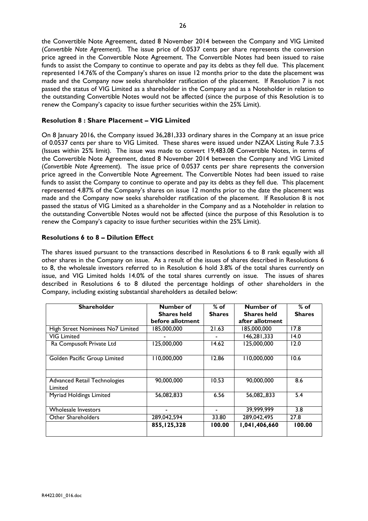the Convertible Note Agreement, dated 8 November 2014 between the Company and VIG Limited (*Convertible Note Agreement*). The issue price of 0.0537 cents per share represents the conversion price agreed in the Convertible Note Agreement. The Convertible Notes had been issued to raise funds to assist the Company to continue to operate and pay its debts as they fell due. This placement represented 14.76% of the Company's shares on issue 12 months prior to the date the placement was made and the Company now seeks shareholder ratification of the placement. If Resolution 7 is not passed the status of VIG Limited as a shareholder in the Company and as a Noteholder in relation to the outstanding Convertible Notes would not be affected (since the purpose of this Resolution is to renew the Company's capacity to issue further securities within the 25% Limit).

# **Resolution 8 : Share Placement – VIG Limited**

On 8 January 2016, the Company issued 36,281,333 ordinary shares in the Company at an issue price of 0.0537 cents per share to VIG Limited. These shares were issued under NZAX Listing Rule 7.3.5 (Issues within 25% limit). The issue was made to convert 19,483.08 Convertible Notes, in terms of the Convertible Note Agreement, dated 8 November 2014 between the Company and VIG Limited (*Convertible Note Agreement*). The issue price of 0.0537 cents per share represents the conversion price agreed in the Convertible Note Agreement. The Convertible Notes had been issued to raise funds to assist the Company to continue to operate and pay its debts as they fell due. This placement represented 4.87% of the Company's shares on issue 12 months prior to the date the placement was made and the Company now seeks shareholder ratification of the placement. If Resolution 8 is not passed the status of VIG Limited as a shareholder in the Company and as a Noteholder in relation to the outstanding Convertible Notes would not be affected (since the purpose of this Resolution is to renew the Company's capacity to issue further securities within the 25% Limit).

# **Resolutions 6 to 8 – Dilution Effect**

The shares issued pursuant to the transactions described in Resolutions 6 to 8 rank equally with all other shares in the Company on issue. As a result of the issues of shares described in Resolutions 6 to 8, the wholesale investors referred to in Resolution 6 hold 3.8% of the total shares currently on issue, and VIG Limited holds 14.0% of the total shares currently on issue. The issues of shares described in Resolutions 6 to 8 diluted the percentage holdings of other shareholders in the Company, including existing substantial shareholders as detailed below:

| <b>Shareholder</b>                  | Number of                | $%$ of        | Number of                  | $%$ of        |
|-------------------------------------|--------------------------|---------------|----------------------------|---------------|
|                                     | <b>Shares held</b>       | <b>Shares</b> | <b>Shares held</b>         | <b>Shares</b> |
|                                     | before allotment         |               | after allotment            |               |
| High Street Nominees No7 Limited    | 185,000,000              | 21.63         | 185,000,000                | 17.8          |
| <b>VIG Limited</b>                  |                          |               | 146,281,333                | 14.0          |
| Ra Compusoft Private Ltd            | 125,000,000              | 14.62         | 125,000,000                | 12.0          |
|                                     |                          |               |                            |               |
| Golden Pacific Group Limited        | 110,000,000              | 12.86         | 110,000,000                | 10.6          |
|                                     |                          |               |                            |               |
|                                     |                          |               |                            |               |
| <b>Advanced Retail Technologies</b> | 90,000,000               | 10.53         | 90,000,000                 | 8.6           |
| Limited                             |                          |               |                            |               |
| Myriad Holdings Limited             | 56,082,833               | 6.56          | 56,082,,833                | 5.4           |
|                                     |                          |               |                            |               |
| Wholesale Investors                 |                          |               | 39,999,999                 | 3.8           |
| Other Shareholders                  | 289,042,594              | 33.80         | 289,042,495                | 27.8          |
|                                     | $\overline{855,}125,328$ | 100.00        | $\overline{1,041,406,660}$ | 100.00        |
|                                     |                          |               |                            |               |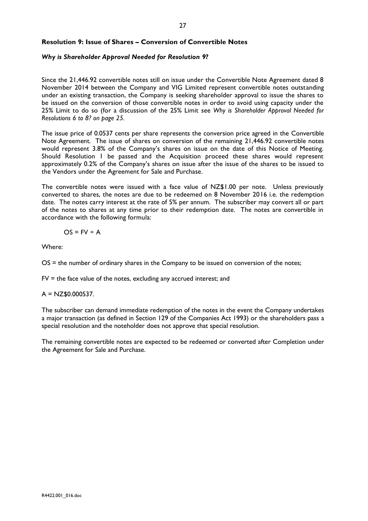# **Resolution 9: Issue of Shares – Conversion of Convertible Notes**

## *Why is Shareholder Approval Needed for Resolution 9?*

Since the 21,446.92 convertible notes still on issue under the Convertible Note Agreement dated 8 November 2014 between the Company and VIG Limited represent convertible notes outstanding under an existing transaction, the Company is seeking shareholder approval to issue the shares to be issued on the conversion of those convertible notes in order to avoid using capacity under the 25% Limit to do so (for a discussion of the 25% Limit see *Why is Shareholder Approval Needed for Resolutions 6 to 8? on page 25.*

The issue price of 0.0537 cents per share represents the conversion price agreed in the Convertible Note Agreement. The issue of shares on conversion of the remaining 21,446.92 convertible notes would represent 3.8% of the Company's shares on issue on the date of this Notice of Meeting. Should Resolution 1 be passed and the Acquisition proceed these shares would represent approximately 0.2% of the Company's shares on issue after the issue of the shares to be issued to the Vendors under the Agreement for Sale and Purchase.

The convertible notes were issued with a face value of NZ\$1.00 per note. Unless previously converted to shares, the notes are due to be redeemed on 8 November 2016 i.e. the redemption date. The notes carry interest at the rate of 5% per annum. The subscriber may convert all or part of the notes to shares at any time prior to their redemption date. The notes are convertible in accordance with the following formula:

$$
OS = FV \div A
$$

Where:

OS = the number of ordinary shares in the Company to be issued on conversion of the notes;

 $FV =$  the face value of the notes, excluding any accrued interest; and

 $A = NZ$0.000537.$ 

The subscriber can demand immediate redemption of the notes in the event the Company undertakes a major transaction (as defined in Section 129 of the Companies Act 1993) or the shareholders pass a special resolution and the noteholder does not approve that special resolution.

The remaining convertible notes are expected to be redeemed or converted after Completion under the Agreement for Sale and Purchase.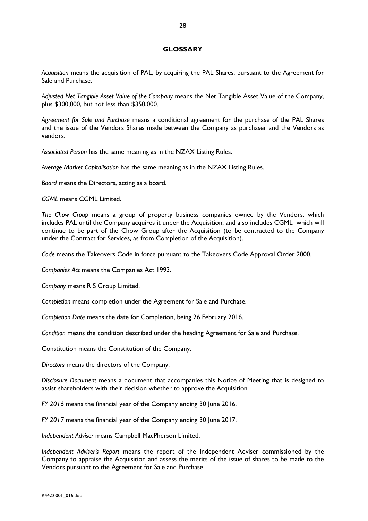## **GLOSSARY**

*Acquisition* means the acquisition of PAL, by acquiring the PAL Shares, pursuant to the Agreement for Sale and Purchase.

*Adjusted Net Tangible Asset Value of the Company* means the Net Tangible Asset Value of the Company, plus \$300,000, but not less than \$350,000.

*Agreement for Sale and Purchase* means a conditional agreement for the purchase of the PAL Shares and the issue of the Vendors Shares made between the Company as purchaser and the Vendors as vendors.

*Associated Person* has the same meaning as in the NZAX Listing Rules.

*Average Market Capitalisation* has the same meaning as in the NZAX Listing Rules.

*Board* means the Directors, acting as a board.

*CGML* means CGML Limited.

*The Chow Group* means a group of property business companies owned by the Vendors, which includes PAL until the Company acquires it under the Acquisition, and also includes CGML which will continue to be part of the Chow Group after the Acquisition (to be contracted to the Company under the Contract for Services, as from Completion of the Acquisition).

*Code* means the Takeovers Code in force pursuant to the Takeovers Code Approval Order 2000.

*Companies Act* means the Companies Act 1993.

*Company* means RIS Group Limited.

*Completion* means completion under the Agreement for Sale and Purchase.

*Completion Date* means the date for Completion, being 26 February 2016.

*Condition* means the condition described under the heading Agreement for Sale and Purchase.

Constitution means the Constitution of the Company.

*Directors* means the directors of the Company.

*Disclosure Document* means a document that accompanies this Notice of Meeting that is designed to assist shareholders with their decision whether to approve the Acquisition.

*FY 2016* means the financial year of the Company ending 30 June 2016.

*FY 2017* means the financial year of the Company ending 30 June 2017.

*Independent Adviser* means Campbell MacPherson Limited.

*Independent Adviser's Report* means the report of the Independent Adviser commissioned by the Company to appraise the Acquisition and assess the merits of the issue of shares to be made to the Vendors pursuant to the Agreement for Sale and Purchase.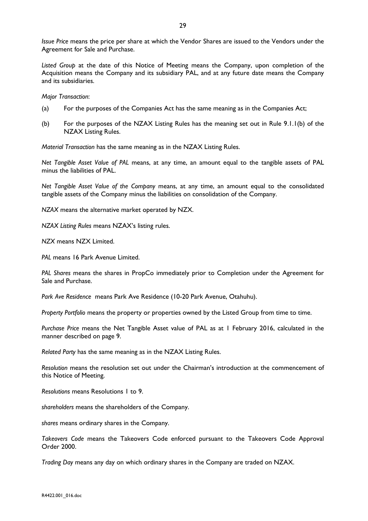*Issue Price* means the price per share at which the Vendor Shares are issued to the Vendors under the Agreement for Sale and Purchase.

*Listed Group* at the date of this Notice of Meeting means the Company, upon completion of the Acquisition means the Company and its subsidiary PAL, and at any future date means the Company and its subsidiaries.

*Major Transaction*:

- (a) For the purposes of the Companies Act has the same meaning as in the Companies Act;
- (b) For the purposes of the NZAX Listing Rules has the meaning set out in Rule 9.1.1(b) of the NZAX Listing Rules.

*Material Transaction* has the same meaning as in the NZAX Listing Rules.

*Net Tangible Asset Value of PAL* means, at any time, an amount equal to the tangible assets of PAL minus the liabilities of PAL.

*Net Tangible Asset Value of the Company* means, at any time, an amount equal to the consolidated tangible assets of the Company minus the liabilities on consolidation of the Company.

*NZAX* means the alternative market operated by NZX.

*NZAX Listing Rules* means NZAX's listing rules.

*NZX* means NZX Limited.

*PAL* means 16 Park Avenue Limited.

*PAL Shares* means the shares in PropCo immediately prior to Completion under the Agreement for Sale and Purchase.

*Park Ave Residence* means Park Ave Residence (10-20 Park Avenue, Otahuhu).

*Property Portfolio* means the property or properties owned by the Listed Group from time to time.

*Purchase Price* means the Net Tangible Asset value of PAL as at 1 February 2016, calculated in the manner described on page 9.

*Related Party* has the same meaning as in the NZAX Listing Rules.

*Resolution* means the resolution set out under the Chairman's introduction at the commencement of this Notice of Meeting.

*Resolutions* means Resolutions 1 to 9.

*shareholders* means the shareholders of the Company.

*shares* means ordinary shares in the Company.

*Takeovers Code* means the Takeovers Code enforced pursuant to the Takeovers Code Approval Order 2000.

*Trading Day* means any day on which ordinary shares in the Company are traded on NZAX.